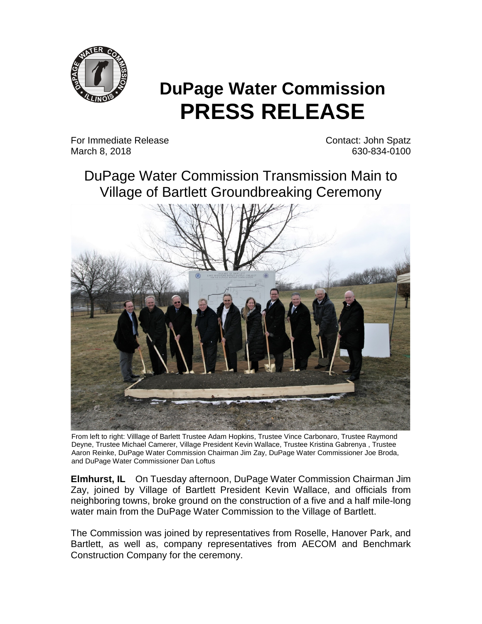

## **DuPage Water Commission PRESS RELEASE**

For Immediate Release Contact: John Spatz March 8, 2018 **630-834**-0100

DuPage Water Commission Transmission Main to Village of Bartlett Groundbreaking Ceremony



From left to right: Villlage of Barlett Trustee Adam Hopkins, Trustee Vince Carbonaro, Trustee Raymond Deyne, Trustee Michael Camerer, Village President Kevin Wallace, Trustee Kristina Gabrenya , Trustee Aaron Reinke, DuPage Water Commission Chairman Jim Zay, DuPage Water Commissioner Joe Broda, and DuPage Water Commissioner Dan Loftus

**Elmhurst, IL** On Tuesday afternoon, DuPage Water Commission Chairman Jim Zay, joined by Village of Bartlett President Kevin Wallace, and officials from neighboring towns, broke ground on the construction of a five and a half mile-long water main from the DuPage Water Commission to the Village of Bartlett.

The Commission was joined by representatives from Roselle, Hanover Park, and Bartlett, as well as, company representatives from AECOM and Benchmark Construction Company for the ceremony.